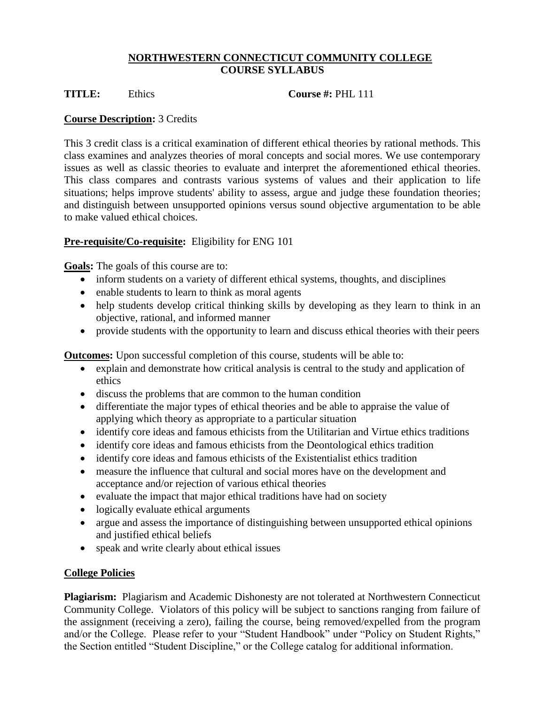### **NORTHWESTERN CONNECTICUT COMMUNITY COLLEGE COURSE SYLLABUS**

**TITLE:** Ethics **Course #:** PHL 111

## **Course Description:** 3 Credits

This 3 credit class is a critical examination of different ethical theories by rational methods. This class examines and analyzes theories of moral concepts and social mores. We use contemporary issues as well as classic theories to evaluate and interpret the aforementioned ethical theories. This class compares and contrasts various systems of values and their application to life situations; helps improve students' ability to assess, argue and judge these foundation theories; and distinguish between unsupported opinions versus sound objective argumentation to be able to make valued ethical choices.

# **Pre-requisite/Co-requisite:** Eligibility for ENG 101

**Goals:** The goals of this course are to:

- inform students on a variety of different ethical systems, thoughts, and disciplines
- enable students to learn to think as moral agents
- help students develop critical thinking skills by developing as they learn to think in an objective, rational, and informed manner
- provide students with the opportunity to learn and discuss ethical theories with their peers

**Outcomes:** Upon successful completion of this course, students will be able to:

- explain and demonstrate how critical analysis is central to the study and application of ethics
- discuss the problems that are common to the human condition
- differentiate the major types of ethical theories and be able to appraise the value of applying which theory as appropriate to a particular situation
- identify core ideas and famous ethicists from the Utilitarian and Virtue ethics traditions
- identify core ideas and famous ethicists from the Deontological ethics tradition
- identify core ideas and famous ethicists of the Existentialist ethics tradition
- measure the influence that cultural and social mores have on the development and acceptance and/or rejection of various ethical theories
- evaluate the impact that major ethical traditions have had on society
- logically evaluate ethical arguments
- argue and assess the importance of distinguishing between unsupported ethical opinions and justified ethical beliefs
- speak and write clearly about ethical issues

## **College Policies**

**Plagiarism:** Plagiarism and Academic Dishonesty are not tolerated at Northwestern Connecticut Community College. Violators of this policy will be subject to sanctions ranging from failure of the assignment (receiving a zero), failing the course, being removed/expelled from the program and/or the College. Please refer to your "Student Handbook" under "Policy on Student Rights," the Section entitled "Student Discipline," or the College catalog for additional information.